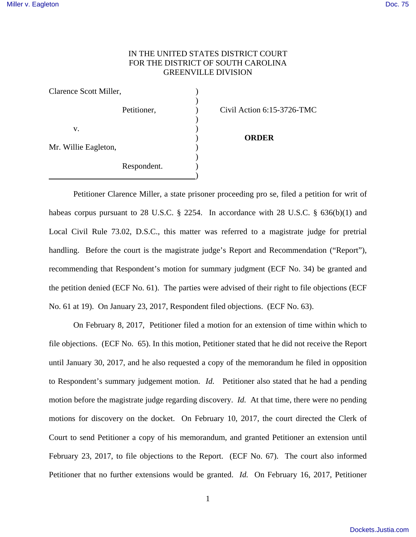## IN THE UNITED STATES DISTRICT COURT FOR THE DISTRICT OF SOUTH CAROLINA GREENVILLE DIVISION

| Clarence Scott Miller,     |             |                            |
|----------------------------|-------------|----------------------------|
|                            | Petitioner, | Civil Action 6:15-3726-TMC |
| V.<br>Mr. Willie Eagleton, |             | <b>ORDER</b>               |
|                            | Respondent. |                            |

Petitioner Clarence Miller, a state prisoner proceeding pro se, filed a petition for writ of habeas corpus pursuant to 28 U.S.C. § 2254. In accordance with 28 U.S.C. § 636(b)(1) and Local Civil Rule 73.02, D.S.C., this matter was referred to a magistrate judge for pretrial handling. Before the court is the magistrate judge's Report and Recommendation ("Report"), recommending that Respondent's motion for summary judgment (ECF No. 34) be granted and the petition denied (ECF No. 61). The parties were advised of their right to file objections (ECF No. 61 at 19). On January 23, 2017, Respondent filed objections. (ECF No. 63).

On February 8, 2017, Petitioner filed a motion for an extension of time within which to file objections. (ECF No. 65). In this motion, Petitioner stated that he did not receive the Report until January 30, 2017, and he also requested a copy of the memorandum he filed in opposition to Respondent's summary judgement motion. *Id.* Petitioner also stated that he had a pending motion before the magistrate judge regarding discovery. *Id.* At that time, there were no pending motions for discovery on the docket. On February 10, 2017, the court directed the Clerk of Court to send Petitioner a copy of his memorandum, and granted Petitioner an extension until February 23, 2017, to file objections to the Report. (ECF No. 67). The court also informed Petitioner that no further extensions would be granted. *Id.* On February 16, 2017, Petitioner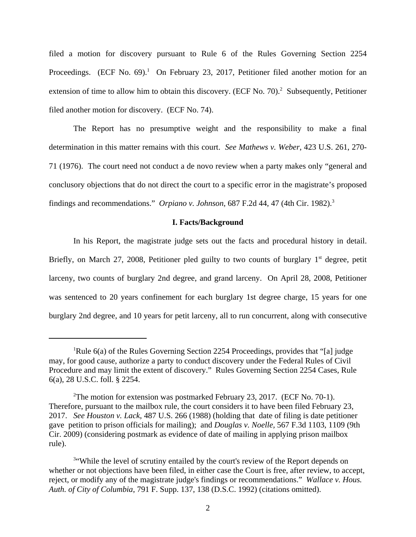filed a motion for discovery pursuant to Rule 6 of the Rules Governing Section 2254 Proceedings. (ECF No. 69).<sup>1</sup> On February 23, 2017, Petitioner filed another motion for an extension of time to allow him to obtain this discovery. (ECF No. 70).<sup>2</sup> Subsequently, Petitioner filed another motion for discovery. (ECF No. 74).

The Report has no presumptive weight and the responsibility to make a final determination in this matter remains with this court. *See Mathews v. Weber*, 423 U.S. 261, 270- 71 (1976). The court need not conduct a de novo review when a party makes only "general and conclusory objections that do not direct the court to a specific error in the magistrate's proposed findings and recommendations." *Orpiano v. Johnson*, 687 F.2d 44, 47 (4th Cir. 1982).<sup>3</sup>

## **I. Facts/Background**

In his Report, the magistrate judge sets out the facts and procedural history in detail. Briefly, on March 27, 2008, Petitioner pled guilty to two counts of burglary  $1<sup>st</sup>$  degree, petit larceny, two counts of burglary 2nd degree, and grand larceny. On April 28, 2008, Petitioner was sentenced to 20 years confinement for each burglary 1st degree charge, 15 years for one burglary 2nd degree, and 10 years for petit larceny, all to run concurrent, along with consecutive

<sup>&</sup>lt;sup>1</sup>Rule 6(a) of the Rules Governing Section 2254 Proceedings, provides that "[a] judge may, for good cause, authorize a party to conduct discovery under the Federal Rules of Civil Procedure and may limit the extent of discovery." Rules Governing Section 2254 Cases, Rule 6(a), 28 U.S.C. foll. § 2254.

<sup>&</sup>lt;sup>2</sup>The motion for extension was postmarked February 23, 2017. (ECF No. 70-1). Therefore, pursuant to the mailbox rule, the court considers it to have been filed February 23, 2017. *See Houston v. Lack*, 487 U.S. 266 (1988) (holding that date of filing is date petitioner gave petition to prison officials for mailing); and *Douglas v. Noelle,* 567 F.3d 1103, 1109 (9th Cir. 2009) (considering postmark as evidence of date of mailing in applying prison mailbox rule).

<sup>&</sup>lt;sup>3"</sup>While the level of scrutiny entailed by the court's review of the Report depends on whether or not objections have been filed, in either case the Court is free, after review, to accept, reject, or modify any of the magistrate judge's findings or recommendations." *Wallace v. Hous. Auth. of City of Columbia*, 791 F. Supp. 137, 138 (D.S.C. 1992) (citations omitted).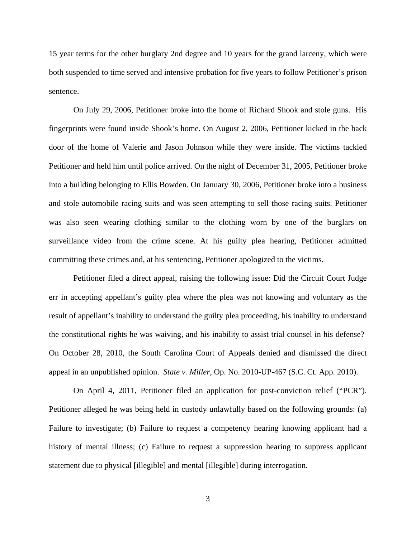15 year terms for the other burglary 2nd degree and 10 years for the grand larceny, which were both suspended to time served and intensive probation for five years to follow Petitioner's prison sentence.

On July 29, 2006, Petitioner broke into the home of Richard Shook and stole guns. His fingerprints were found inside Shook's home. On August 2, 2006, Petitioner kicked in the back door of the home of Valerie and Jason Johnson while they were inside. The victims tackled Petitioner and held him until police arrived. On the night of December 31, 2005, Petitioner broke into a building belonging to Ellis Bowden. On January 30, 2006, Petitioner broke into a business and stole automobile racing suits and was seen attempting to sell those racing suits. Petitioner was also seen wearing clothing similar to the clothing worn by one of the burglars on surveillance video from the crime scene. At his guilty plea hearing, Petitioner admitted committing these crimes and, at his sentencing, Petitioner apologized to the victims.

Petitioner filed a direct appeal, raising the following issue: Did the Circuit Court Judge err in accepting appellant's guilty plea where the plea was not knowing and voluntary as the result of appellant's inability to understand the guilty plea proceeding, his inability to understand the constitutional rights he was waiving, and his inability to assist trial counsel in his defense? On October 28, 2010, the South Carolina Court of Appeals denied and dismissed the direct appeal in an unpublished opinion. *State v. Miller*, Op. No. 2010-UP-467 (S.C. Ct. App. 2010).

On April 4, 2011, Petitioner filed an application for post-conviction relief ("PCR"). Petitioner alleged he was being held in custody unlawfully based on the following grounds: (a) Failure to investigate; (b) Failure to request a competency hearing knowing applicant had a history of mental illness; (c) Failure to request a suppression hearing to suppress applicant statement due to physical [illegible] and mental [illegible] during interrogation.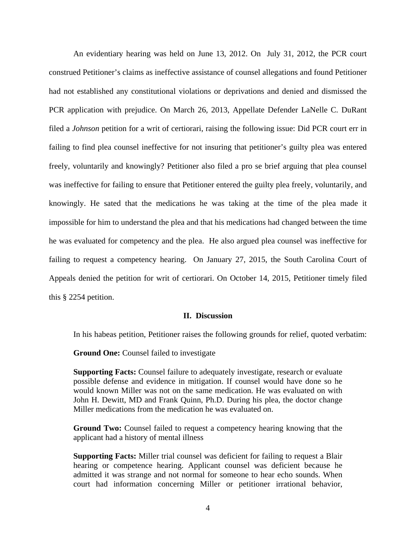An evidentiary hearing was held on June 13, 2012. On July 31, 2012, the PCR court construed Petitioner's claims as ineffective assistance of counsel allegations and found Petitioner had not established any constitutional violations or deprivations and denied and dismissed the PCR application with prejudice. On March 26, 2013, Appellate Defender LaNelle C. DuRant filed a *Johnson* petition for a writ of certiorari, raising the following issue: Did PCR court err in failing to find plea counsel ineffective for not insuring that petitioner's guilty plea was entered freely, voluntarily and knowingly? Petitioner also filed a pro se brief arguing that plea counsel was ineffective for failing to ensure that Petitioner entered the guilty plea freely, voluntarily, and knowingly. He sated that the medications he was taking at the time of the plea made it impossible for him to understand the plea and that his medications had changed between the time he was evaluated for competency and the plea. He also argued plea counsel was ineffective for failing to request a competency hearing. On January 27, 2015, the South Carolina Court of Appeals denied the petition for writ of certiorari. On October 14, 2015, Petitioner timely filed this § 2254 petition.

## **II. Discussion**

In his habeas petition, Petitioner raises the following grounds for relief, quoted verbatim:

**Ground One:** Counsel failed to investigate

**Supporting Facts:** Counsel failure to adequately investigate, research or evaluate possible defense and evidence in mitigation. If counsel would have done so he would known Miller was not on the same medication. He was evaluated on with John H. Dewitt, MD and Frank Quinn, Ph.D. During his plea, the doctor change Miller medications from the medication he was evaluated on.

**Ground Two:** Counsel failed to request a competency hearing knowing that the applicant had a history of mental illness

**Supporting Facts:** Miller trial counsel was deficient for failing to request a Blair hearing or competence hearing. Applicant counsel was deficient because he admitted it was strange and not normal for someone to hear echo sounds. When court had information concerning Miller or petitioner irrational behavior,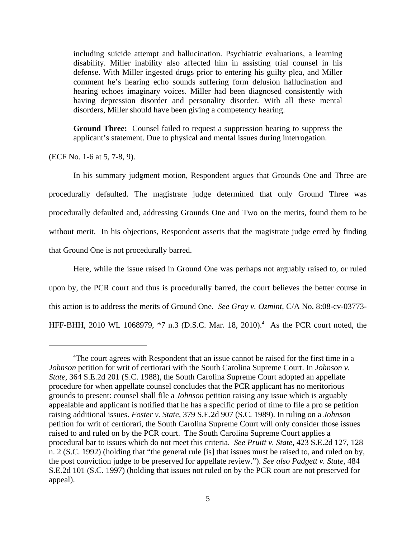including suicide attempt and hallucination. Psychiatric evaluations, a learning disability. Miller inability also affected him in assisting trial counsel in his defense. With Miller ingested drugs prior to entering his guilty plea, and Miller comment he's hearing echo sounds suffering form delusion hallucination and hearing echoes imaginary voices. Miller had been diagnosed consistently with having depression disorder and personality disorder. With all these mental disorders, Miller should have been giving a competency hearing.

**Ground Three:** Counsel failed to request a suppression hearing to suppress the applicant's statement. Due to physical and mental issues during interrogation.

(ECF No. 1-6 at 5, 7-8, 9).

In his summary judgment motion, Respondent argues that Grounds One and Three are procedurally defaulted. The magistrate judge determined that only Ground Three was procedurally defaulted and, addressing Grounds One and Two on the merits, found them to be without merit. In his objections, Respondent asserts that the magistrate judge erred by finding that Ground One is not procedurally barred.

Here, while the issue raised in Ground One was perhaps not arguably raised to, or ruled upon by, the PCR court and thus is procedurally barred, the court believes the better course in this action is to address the merits of Ground One. *See Gray v. Ozmint*, C/A No. 8:08-cv-03773- HFF-BHH, 2010 WL 1068979, \*7 n.3 (D.S.C. Mar. 18, 2010).<sup>4</sup> As the PCR court noted, the

<sup>&</sup>lt;sup>4</sup>The court agrees with Respondent that an issue cannot be raised for the first time in a *Johnson* petition for writ of certiorari with the South Carolina Supreme Court. In *Johnson v. State*, 364 S.E.2d 201 (S.C. 1988), the South Carolina Supreme Court adopted an appellate procedure for when appellate counsel concludes that the PCR applicant has no meritorious grounds to present: counsel shall file a *Johnson* petition raising any issue which is arguably appealable and applicant is notified that he has a specific period of time to file a pro se petition raising additional issues. *Foster v. State,* 379 S.E.2d 907 (S.C. 1989). In ruling on a *Johnson* petition for writ of certiorari, the South Carolina Supreme Court will only consider those issues raised to and ruled on by the PCR court. The South Carolina Supreme Court applies a procedural bar to issues which do not meet this criteria. *See Pruitt v. State*, 423 S.E.2d 127, 128 n. 2 (S.C. 1992) (holding that "the general rule [is] that issues must be raised to, and ruled on by, the post conviction judge to be preserved for appellate review."). *See also Padgett v. State*, 484 S.E.2d 101 (S.C. 1997) (holding that issues not ruled on by the PCR court are not preserved for appeal).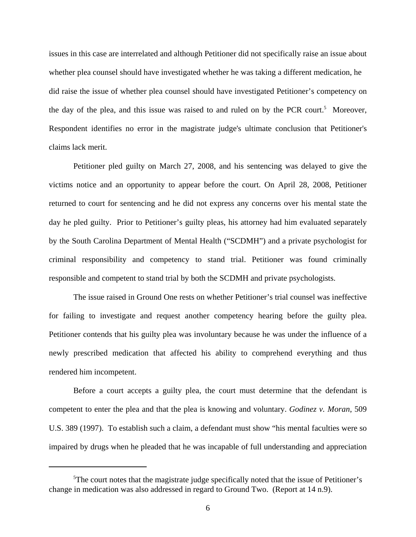issues in this case are interrelated and although Petitioner did not specifically raise an issue about whether plea counsel should have investigated whether he was taking a different medication, he did raise the issue of whether plea counsel should have investigated Petitioner's competency on the day of the plea, and this issue was raised to and ruled on by the PCR court.<sup>5</sup> Moreover, Respondent identifies no error in the magistrate judge's ultimate conclusion that Petitioner's claims lack merit.

Petitioner pled guilty on March 27, 2008, and his sentencing was delayed to give the victims notice and an opportunity to appear before the court. On April 28, 2008, Petitioner returned to court for sentencing and he did not express any concerns over his mental state the day he pled guilty. Prior to Petitioner's guilty pleas, his attorney had him evaluated separately by the South Carolina Department of Mental Health ("SCDMH") and a private psychologist for criminal responsibility and competency to stand trial. Petitioner was found criminally responsible and competent to stand trial by both the SCDMH and private psychologists.

The issue raised in Ground One rests on whether Petitioner's trial counsel was ineffective for failing to investigate and request another competency hearing before the guilty plea. Petitioner contends that his guilty plea was involuntary because he was under the influence of a newly prescribed medication that affected his ability to comprehend everything and thus rendered him incompetent.

Before a court accepts a guilty plea, the court must determine that the defendant is competent to enter the plea and that the plea is knowing and voluntary. *Godinez v. Moran*, 509 U.S. 389 (1997). To establish such a claim, a defendant must show "his mental faculties were so impaired by drugs when he pleaded that he was incapable of full understanding and appreciation

<sup>&</sup>lt;sup>5</sup>The court notes that the magistrate judge specifically noted that the issue of Petitioner's change in medication was also addressed in regard to Ground Two. (Report at 14 n.9).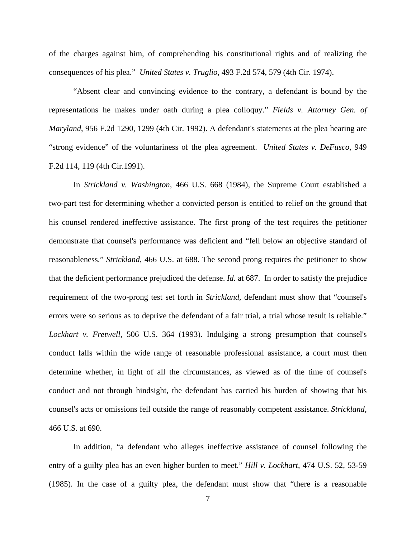of the charges against him, of comprehending his constitutional rights and of realizing the consequences of his plea." *United States v. Truglio,* 493 F.2d 574, 579 (4th Cir. 1974).

"Absent clear and convincing evidence to the contrary, a defendant is bound by the representations he makes under oath during a plea colloquy." *Fields v. Attorney Gen. of Maryland*, 956 F.2d 1290, 1299 (4th Cir. 1992). A defendant's statements at the plea hearing are "strong evidence" of the voluntariness of the plea agreement. *United States v. DeFusco*, 949 F.2d 114, 119 (4th Cir.1991).

In *Strickland v. Washington*, 466 U.S. 668 (1984), the Supreme Court established a two-part test for determining whether a convicted person is entitled to relief on the ground that his counsel rendered ineffective assistance. The first prong of the test requires the petitioner demonstrate that counsel's performance was deficient and "fell below an objective standard of reasonableness." *Strickland*, 466 U.S. at 688. The second prong requires the petitioner to show that the deficient performance prejudiced the defense. *Id.* at 687. In order to satisfy the prejudice requirement of the two-prong test set forth in *Strickland,* defendant must show that "counsel's errors were so serious as to deprive the defendant of a fair trial, a trial whose result is reliable." *Lockhart v. Fretwell*, 506 U.S. 364 (1993). Indulging a strong presumption that counsel's conduct falls within the wide range of reasonable professional assistance, a court must then determine whether, in light of all the circumstances, as viewed as of the time of counsel's conduct and not through hindsight, the defendant has carried his burden of showing that his counsel's acts or omissions fell outside the range of reasonably competent assistance. *Strickland,* 466 U.S. at 690.

In addition, "a defendant who alleges ineffective assistance of counsel following the entry of a guilty plea has an even higher burden to meet." *Hill v. Lockhart*, 474 U.S. 52, 53-59 (1985). In the case of a guilty plea, the defendant must show that "there is a reasonable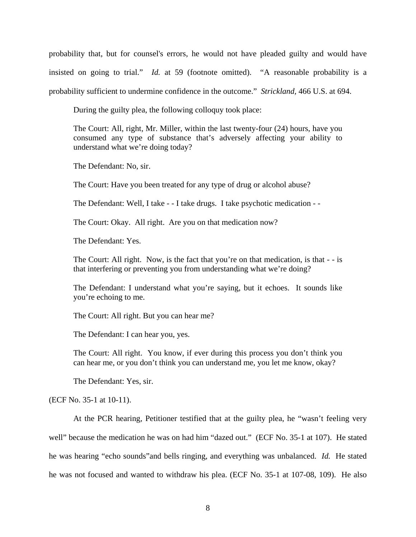probability that, but for counsel's errors, he would not have pleaded guilty and would have insisted on going to trial." *Id.* at 59 (footnote omitted). "A reasonable probability is a probability sufficient to undermine confidence in the outcome." *Strickland,* 466 U.S. at 694.

During the guilty plea, the following colloquy took place:

The Court: All, right, Mr. Miller, within the last twenty-four (24) hours, have you consumed any type of substance that's adversely affecting your ability to understand what we're doing today?

The Defendant: No, sir.

The Court: Have you been treated for any type of drug or alcohol abuse?

The Defendant: Well, I take - - I take drugs. I take psychotic medication - -

The Court: Okay. All right. Are you on that medication now?

The Defendant: Yes.

The Court: All right. Now, is the fact that you're on that medication, is that - - is that interfering or preventing you from understanding what we're doing?

The Defendant: I understand what you're saying, but it echoes. It sounds like you're echoing to me.

The Court: All right. But you can hear me?

The Defendant: I can hear you, yes.

The Court: All right. You know, if ever during this process you don't think you can hear me, or you don't think you can understand me, you let me know, okay?

The Defendant: Yes, sir.

(ECF No. 35-1 at 10-11).

At the PCR hearing, Petitioner testified that at the guilty plea, he "wasn't feeling very well" because the medication he was on had him "dazed out." (ECF No. 35-1 at 107). He stated he was hearing "echo sounds"and bells ringing, and everything was unbalanced. *Id.* He stated he was not focused and wanted to withdraw his plea. (ECF No. 35-1 at 107-08, 109). He also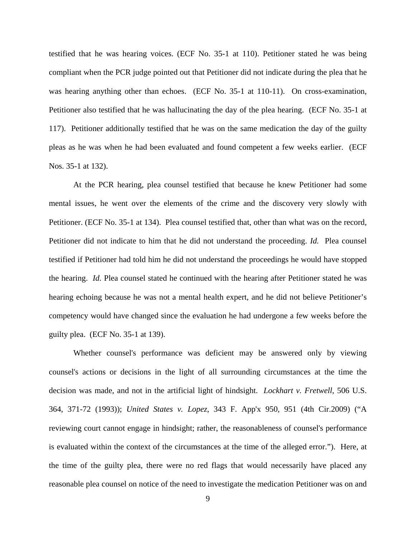testified that he was hearing voices. (ECF No. 35-1 at 110). Petitioner stated he was being compliant when the PCR judge pointed out that Petitioner did not indicate during the plea that he was hearing anything other than echoes. (ECF No. 35-1 at 110-11). On cross-examination, Petitioner also testified that he was hallucinating the day of the plea hearing. (ECF No. 35-1 at 117). Petitioner additionally testified that he was on the same medication the day of the guilty pleas as he was when he had been evaluated and found competent a few weeks earlier. (ECF Nos. 35-1 at 132).

At the PCR hearing, plea counsel testified that because he knew Petitioner had some mental issues, he went over the elements of the crime and the discovery very slowly with Petitioner. (ECF No. 35-1 at 134). Plea counsel testified that, other than what was on the record, Petitioner did not indicate to him that he did not understand the proceeding. *Id.* Plea counsel testified if Petitioner had told him he did not understand the proceedings he would have stopped the hearing. *Id.* Plea counsel stated he continued with the hearing after Petitioner stated he was hearing echoing because he was not a mental health expert, and he did not believe Petitioner's competency would have changed since the evaluation he had undergone a few weeks before the guilty plea. (ECF No. 35-1 at 139).

Whether counsel's performance was deficient may be answered only by viewing counsel's actions or decisions in the light of all surrounding circumstances at the time the decision was made, and not in the artificial light of hindsight. *Lockhart v. Fretwell*, 506 U.S. 364, 371-72 (1993)); *United States v. Lopez*, 343 F. App'x 950, 951 (4th Cir.2009) ("A reviewing court cannot engage in hindsight; rather, the reasonableness of counsel's performance is evaluated within the context of the circumstances at the time of the alleged error."). Here, at the time of the guilty plea, there were no red flags that would necessarily have placed any reasonable plea counsel on notice of the need to investigate the medication Petitioner was on and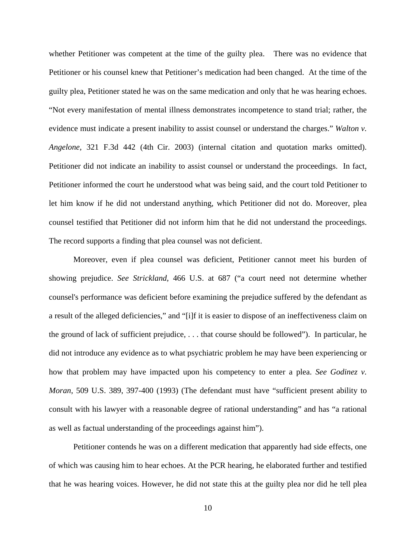whether Petitioner was competent at the time of the guilty plea. There was no evidence that Petitioner or his counsel knew that Petitioner's medication had been changed. At the time of the guilty plea, Petitioner stated he was on the same medication and only that he was hearing echoes. "Not every manifestation of mental illness demonstrates incompetence to stand trial; rather, the evidence must indicate a present inability to assist counsel or understand the charges." *Walton v. Angelone*, 321 F.3d 442 (4th Cir. 2003) (internal citation and quotation marks omitted). Petitioner did not indicate an inability to assist counsel or understand the proceedings. In fact, Petitioner informed the court he understood what was being said, and the court told Petitioner to let him know if he did not understand anything, which Petitioner did not do. Moreover, plea counsel testified that Petitioner did not inform him that he did not understand the proceedings. The record supports a finding that plea counsel was not deficient.

Moreover, even if plea counsel was deficient, Petitioner cannot meet his burden of showing prejudice. *See Strickland*, 466 U.S. at 687 ("a court need not determine whether counsel's performance was deficient before examining the prejudice suffered by the defendant as a result of the alleged deficiencies," and "[i]f it is easier to dispose of an ineffectiveness claim on the ground of lack of sufficient prejudice, . . . that course should be followed"). In particular, he did not introduce any evidence as to what psychiatric problem he may have been experiencing or how that problem may have impacted upon his competency to enter a plea. *See Godinez v. Moran*, 509 U.S. 389, 397-400 (1993) (The defendant must have "sufficient present ability to consult with his lawyer with a reasonable degree of rational understanding" and has "a rational as well as factual understanding of the proceedings against him").

Petitioner contends he was on a different medication that apparently had side effects, one of which was causing him to hear echoes. At the PCR hearing, he elaborated further and testified that he was hearing voices. However, he did not state this at the guilty plea nor did he tell plea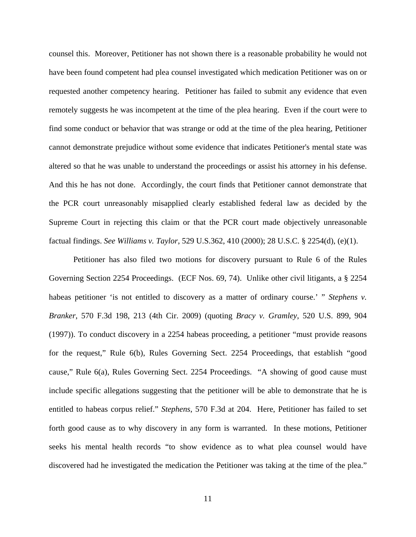counsel this. Moreover, Petitioner has not shown there is a reasonable probability he would not have been found competent had plea counsel investigated which medication Petitioner was on or requested another competency hearing. Petitioner has failed to submit any evidence that even remotely suggests he was incompetent at the time of the plea hearing. Even if the court were to find some conduct or behavior that was strange or odd at the time of the plea hearing, Petitioner cannot demonstrate prejudice without some evidence that indicates Petitioner's mental state was altered so that he was unable to understand the proceedings or assist his attorney in his defense. And this he has not done. Accordingly, the court finds that Petitioner cannot demonstrate that the PCR court unreasonably misapplied clearly established federal law as decided by the Supreme Court in rejecting this claim or that the PCR court made objectively unreasonable factual findings. *See Williams v. Taylor*, 529 U.S.362, 410 (2000); 28 U.S.C. § 2254(d), (e)(1).

Petitioner has also filed two motions for discovery pursuant to Rule 6 of the Rules Governing Section 2254 Proceedings. (ECF Nos. 69, 74). Unlike other civil litigants, a § 2254 habeas petitioner 'is not entitled to discovery as a matter of ordinary course.' " *Stephens v. Branker*, 570 F.3d 198, 213 (4th Cir. 2009) (quoting *Bracy v. Gramley*, 520 U.S. 899, 904 (1997)). To conduct discovery in a 2254 habeas proceeding, a petitioner "must provide reasons for the request," Rule 6(b), Rules Governing Sect. 2254 Proceedings, that establish "good cause," Rule 6(a), Rules Governing Sect. 2254 Proceedings. "A showing of good cause must include specific allegations suggesting that the petitioner will be able to demonstrate that he is entitled to habeas corpus relief." *Stephens*, 570 F.3d at 204. Here, Petitioner has failed to set forth good cause as to why discovery in any form is warranted. In these motions, Petitioner seeks his mental health records "to show evidence as to what plea counsel would have discovered had he investigated the medication the Petitioner was taking at the time of the plea."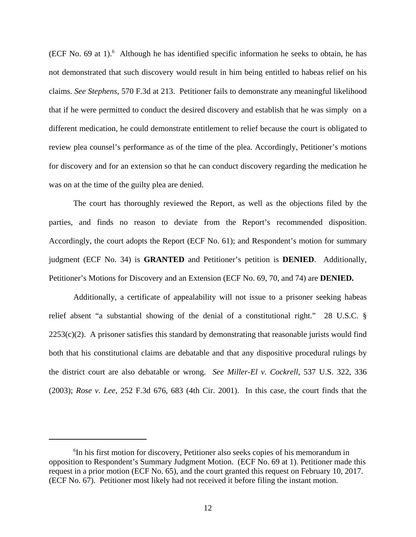$(ECF No. 69$  at 1).<sup>6</sup> Although he has identified specific information he seeks to obtain, he has not demonstrated that such discovery would result in him being entitled to habeas relief on his claims. *See Stephens*, 570 F.3d at 213. Petitioner fails to demonstrate any meaningful likelihood that if he were permitted to conduct the desired discovery and establish that he was simply on a different medication, he could demonstrate entitlement to relief because the court is obligated to review plea counsel's performance as of the time of the plea. Accordingly, Petitioner's motions for discovery and for an extension so that he can conduct discovery regarding the medication he was on at the time of the guilty plea are denied.

The court has thoroughly reviewed the Report, as well as the objections filed by the parties, and finds no reason to deviate from the Report's recommended disposition. Accordingly, the court adopts the Report (ECF No. 61); and Respondent's motion for summary judgment (ECF No. 34) is **GRANTED** and Petitioner's petition is **DENIED**. Additionally, Petitioner's Motions for Discovery and an Extension (ECF No. 69, 70, and 74) are **DENIED.** 

Additionally, a certificate of appealability will not issue to a prisoner seeking habeas relief absent "a substantial showing of the denial of a constitutional right." 28 U.S.C. §  $2253(c)(2)$ . A prisoner satisfies this standard by demonstrating that reasonable jurists would find both that his constitutional claims are debatable and that any dispositive procedural rulings by the district court are also debatable or wrong. *See Miller-El v. Cockrell*, 537 U.S. 322, 336 (2003); *Rose v. Lee*, 252 F.3d 676, 683 (4th Cir. 2001). In this case, the court finds that the

<sup>6</sup> In his first motion for discovery, Petitioner also seeks copies of his memorandum in opposition to Respondent's Summary Judgment Motion. (ECF No. 69 at 1). Petitioner made this request in a prior motion (ECF No. 65), and the court granted this request on February 10, 2017. (ECF No. 67). Petitioner most likely had not received it before filing the instant motion.